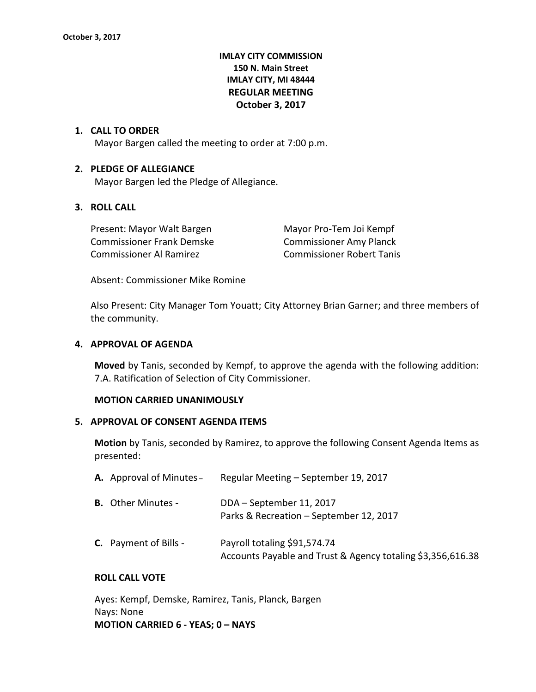# **IMLAY CITY COMMISSION 150 N. Main Street IMLAY CITY, MI 48444 REGULAR MEETING October 3, 2017**

### **1. CALL TO ORDER**

Mayor Bargen called the meeting to order at 7:00 p.m.

### **2. PLEDGE OF ALLEGIANCE**

Mayor Bargen led the Pledge of Allegiance.

# **3. ROLL CALL**

Present: Mayor Walt Bargen Mayor Pro-Tem Joi Kempf Commissioner Frank Demske Commissioner Amy Planck Commissioner Al Ramirez Commissioner Robert Tanis

Absent: Commissioner Mike Romine

Also Present: City Manager Tom Youatt; City Attorney Brian Garner; and three members of the community.

### **4. APPROVAL OF AGENDA**

**Moved** by Tanis, seconded by Kempf, to approve the agenda with the following addition: 7.A. Ratification of Selection of City Commissioner.

#### **MOTION CARRIED UNANIMOUSLY**

#### **5. APPROVAL OF CONSENT AGENDA ITEMS**

**Motion** by Tanis, seconded by Ramirez, to approve the following Consent Agenda Items as presented:

| <b>A.</b> Approval of Minutes - | Regular Meeting - September 19, 2017                                                        |
|---------------------------------|---------------------------------------------------------------------------------------------|
| <b>B.</b> Other Minutes -       | DDA - September 11, 2017<br>Parks & Recreation - September 12, 2017                         |
| <b>C.</b> Payment of Bills -    | Payroll totaling \$91,574.74<br>Accounts Payable and Trust & Agency totaling \$3,356,616.38 |

## **ROLL CALL VOTE**

Ayes: Kempf, Demske, Ramirez, Tanis, Planck, Bargen Nays: None **MOTION CARRIED 6 - YEAS; 0 – NAYS**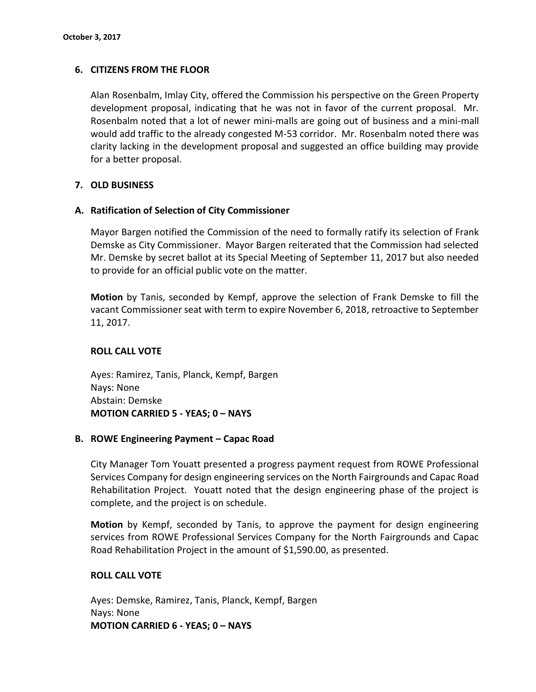# **6. CITIZENS FROM THE FLOOR**

Alan Rosenbalm, Imlay City, offered the Commission his perspective on the Green Property development proposal, indicating that he was not in favor of the current proposal. Mr. Rosenbalm noted that a lot of newer mini-malls are going out of business and a mini-mall would add traffic to the already congested M-53 corridor. Mr. Rosenbalm noted there was clarity lacking in the development proposal and suggested an office building may provide for a better proposal.

# **7. OLD BUSINESS**

## **A. Ratification of Selection of City Commissioner**

Mayor Bargen notified the Commission of the need to formally ratify its selection of Frank Demske as City Commissioner. Mayor Bargen reiterated that the Commission had selected Mr. Demske by secret ballot at its Special Meeting of September 11, 2017 but also needed to provide for an official public vote on the matter.

**Motion** by Tanis, seconded by Kempf, approve the selection of Frank Demske to fill the vacant Commissioner seat with term to expire November 6, 2018, retroactive to September 11, 2017.

# **ROLL CALL VOTE**

Ayes: Ramirez, Tanis, Planck, Kempf, Bargen Nays: None Abstain: Demske **MOTION CARRIED 5 - YEAS; 0 – NAYS**

## **B. ROWE Engineering Payment – Capac Road**

City Manager Tom Youatt presented a progress payment request from ROWE Professional Services Company for design engineering services on the North Fairgrounds and Capac Road Rehabilitation Project. Youatt noted that the design engineering phase of the project is complete, and the project is on schedule.

**Motion** by Kempf, seconded by Tanis, to approve the payment for design engineering services from ROWE Professional Services Company for the North Fairgrounds and Capac Road Rehabilitation Project in the amount of \$1,590.00, as presented.

## **ROLL CALL VOTE**

Ayes: Demske, Ramirez, Tanis, Planck, Kempf, Bargen Nays: None **MOTION CARRIED 6 - YEAS; 0 – NAYS**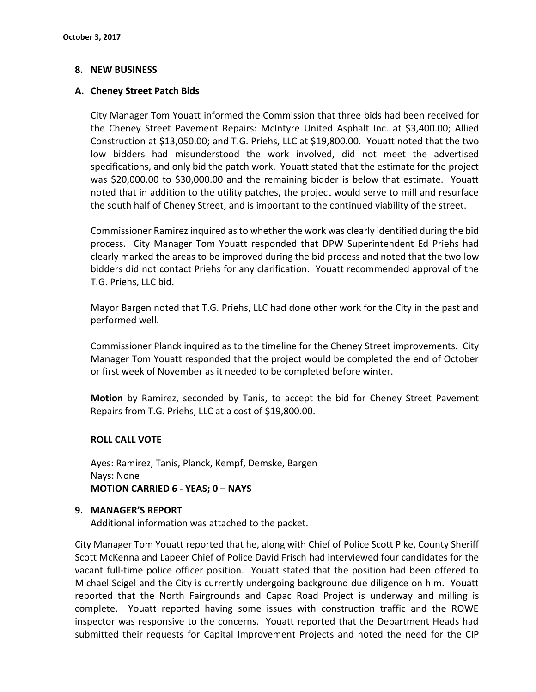## **8. NEW BUSINESS**

## **A. Cheney Street Patch Bids**

City Manager Tom Youatt informed the Commission that three bids had been received for the Cheney Street Pavement Repairs: McIntyre United Asphalt Inc. at \$3,400.00; Allied Construction at \$13,050.00; and T.G. Priehs, LLC at \$19,800.00. Youatt noted that the two low bidders had misunderstood the work involved, did not meet the advertised specifications, and only bid the patch work. Youatt stated that the estimate for the project was \$20,000.00 to \$30,000.00 and the remaining bidder is below that estimate. Youatt noted that in addition to the utility patches, the project would serve to mill and resurface the south half of Cheney Street, and is important to the continued viability of the street.

Commissioner Ramirez inquired as to whether the work was clearly identified during the bid process. City Manager Tom Youatt responded that DPW Superintendent Ed Priehs had clearly marked the areas to be improved during the bid process and noted that the two low bidders did not contact Priehs for any clarification. Youatt recommended approval of the T.G. Priehs, LLC bid.

Mayor Bargen noted that T.G. Priehs, LLC had done other work for the City in the past and performed well.

Commissioner Planck inquired as to the timeline for the Cheney Street improvements. City Manager Tom Youatt responded that the project would be completed the end of October or first week of November as it needed to be completed before winter.

**Motion** by Ramirez, seconded by Tanis, to accept the bid for Cheney Street Pavement Repairs from T.G. Priehs, LLC at a cost of \$19,800.00.

## **ROLL CALL VOTE**

Ayes: Ramirez, Tanis, Planck, Kempf, Demske, Bargen Nays: None **MOTION CARRIED 6 - YEAS; 0 – NAYS**

#### **9. MANAGER'S REPORT**

Additional information was attached to the packet.

City Manager Tom Youatt reported that he, along with Chief of Police Scott Pike, County Sheriff Scott McKenna and Lapeer Chief of Police David Frisch had interviewed four candidates for the vacant full-time police officer position. Youatt stated that the position had been offered to Michael Scigel and the City is currently undergoing background due diligence on him. Youatt reported that the North Fairgrounds and Capac Road Project is underway and milling is complete. Youatt reported having some issues with construction traffic and the ROWE inspector was responsive to the concerns. Youatt reported that the Department Heads had submitted their requests for Capital Improvement Projects and noted the need for the CIP